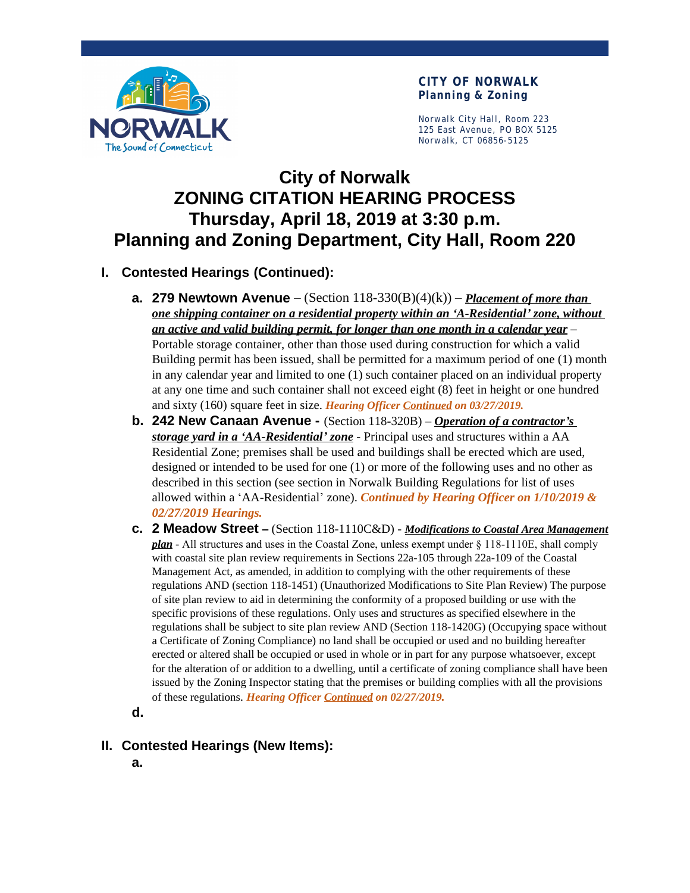

**CITY OF NORWALK Planning & Zoning**

Norwalk City Hall, Room 223 125 East Avenue, PO BOX 5125 Norwalk, CT 06856-5125

# **City of Norwalk ZONING CITATION HEARING PROCESS Thursday, April 18, 2019 at 3:30 p.m. Planning and Zoning Department, City Hall, Room 220**

### **I. Contested Hearings (Continued):**

- **a. 279 Newtown Avenue** (Section  $118-330(B)(4)(k)$ ) *Placement of more than one shipping container on a residential property within an 'A-Residential' zone, without an active and valid building permit, for longer than one month in a calendar year* – Portable storage container, other than those used during construction for which a valid Building permit has been issued, shall be permitted for a maximum period of one (1) month in any calendar year and limited to one (1) such container placed on an individual property at any one time and such container shall not exceed eight (8) feet in height or one hundred and sixty (160) square feet in size. *Hearing Officer Continued on 03/27/2019.*
- **b. 242 New Canaan Avenue -** (Section 118-320B) *Operation of a contractor's storage yard in a 'AA-Residential' zone* - Principal uses and structures within a AA Residential Zone; premises shall be used and buildings shall be erected which are used, designed or intended to be used for one (1) or more of the following uses and no other as described in this section (see section in Norwalk Building Regulations for list of uses allowed within a 'AA-Residential' zone). *Continued by Hearing Officer on 1/10/2019 & 02/27/2019 Hearings.*
- **c. 2 Meadow Street –** (Section 118-1110C&D) *Modifications to Coastal Area Management plan* - All structures and uses in the Coastal Zone, unless exempt under § 118-1110E, shall comply with coastal site plan review requirements in Sections 22a-105 through 22a-109 of the Coastal Management Act, as amended, in addition to complying with the other requirements of these regulations AND (section 118-1451) (Unauthorized Modifications to Site Plan Review) The purpose of site plan review to aid in determining the conformity of a proposed building or use with the specific provisions of these regulations. Only uses and structures as specified elsewhere in the regulations shall be subject to site plan review AND (Section 118-1420G) (Occupying space without a Certificate of Zoning Compliance) no land shall be occupied or used and no building hereafter erected or altered shall be occupied or used in whole or in part for any purpose whatsoever, except for the alteration of or addition to a dwelling, until a certificate of zoning compliance shall have been issued by the Zoning Inspector stating that the premises or building complies with all the provisions of these regulations. *Hearing Officer Continued on 02/27/2019.*
- **d.**
- **II. Contested Hearings (New Items):**
	- **a.**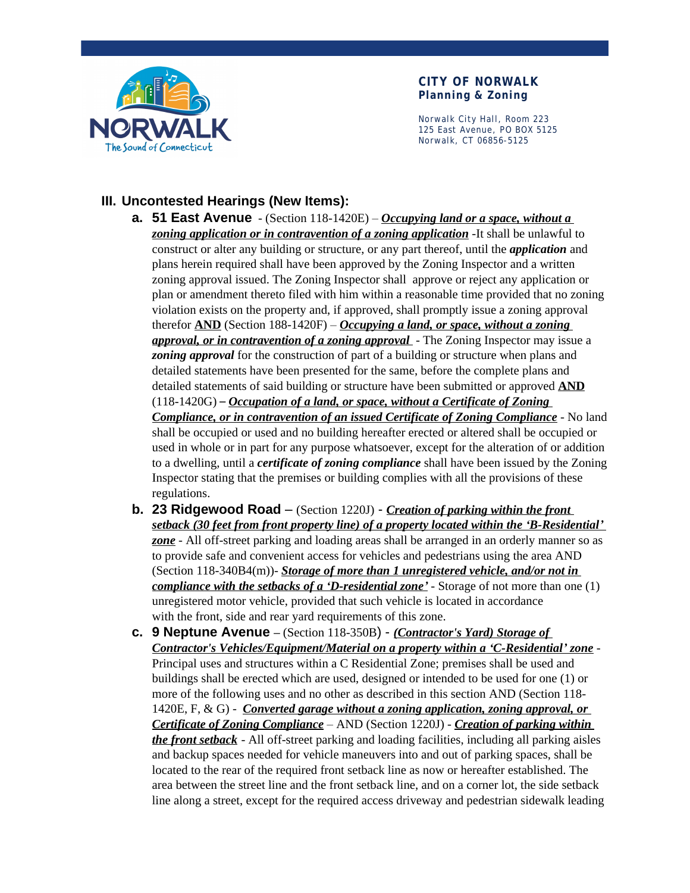

#### **CITY OF NORWALK Planning & Zoning**

Norwalk City Hall, Room 223 125 East Avenue, PO BOX 5125 Norwalk, CT 06856-5125

## **III. Uncontested Hearings (New Items):**

- **a. 51 East Avenue** (Section 118-1420E) *Occupying land or a space, without a zoning application or in contravention of a zoning application* -It shall be unlawful to construct or alter any building or structure, or any part thereof, until the *application* and plans herein required shall have been approved by the Zoning Inspector and a written zoning approval issued. The Zoning Inspector shall approve or reject any application or plan or amendment thereto filed with him within a reasonable time provided that no zoning violation exists on the property and, if approved, shall promptly issue a zoning approval therefor **AND** (Section 188-1420F) – *Occupying a land, or space, without a zoning approval, or in contravention of a zoning approval* - The Zoning Inspector may issue a *zoning approval* for the construction of part of a building or structure when plans and detailed statements have been presented for the same, before the complete plans and detailed statements of said building or structure have been submitted or approved **AND** (118-1420G) – *Occupation of a land, or space, without a Certificate of Zoning Compliance, or in contravention of an issued Certificate of Zoning Compliance* - No land shall be occupied or used and no building hereafter erected or altered shall be occupied or used in whole or in part for any purpose whatsoever, except for the alteration of or addition to a dwelling, until a *certificate of zoning compliance* shall have been issued by the Zoning Inspector stating that the premises or building complies with all the provisions of these regulations.
- **b. 23 Ridgewood Road**  (Section 1220J) *Creation of parking within the front setback (30 feet from front property line) of a property located within the 'B-Residential' zone* - All off-street parking and loading areas shall be arranged in an orderly manner so as to provide safe and convenient access for vehicles and pedestrians using the area AND (Section 118-340B4(m))- *Storage of more than 1 unregistered vehicle, and/or not in compliance with the setbacks of a 'D-residential zone'* - Storage of not more than one (1) unregistered motor vehicle, provided that such vehicle is located in accordance with the front, side and rear yard requirements of this zone.
- **c. 9 Neptune Avenue –** (Section 118-350B) *(Contractor's Yard) Storage of Contractor's Vehicles/Equipment/Material on a property within a 'C-Residential' zone* - Principal uses and structures within a C Residential Zone; premises shall be used and buildings shall be erected which are used, designed or intended to be used for one (1) or more of the following uses and no other as described in this section AND (Section 118- 1420E, F, & G) - *Converted garage without a zoning application, zoning approval, or Certificate of Zoning Compliance* – AND (Section 1220J) - *Creation of parking within the front setback* - All off-street parking and loading facilities, including all parking aisles and backup spaces needed for vehicle maneuvers into and out of parking spaces, shall be located to the rear of the required front setback line as now or hereafter established. The area between the street line and the front setback line, and on a corner lot, the side setback line along a street, except for the required access driveway and pedestrian sidewalk leading